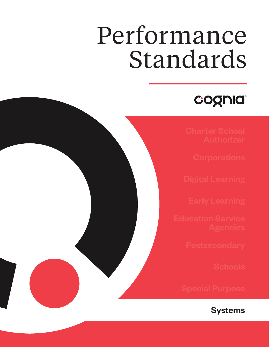# Performance Standards

### cognia

**Systems**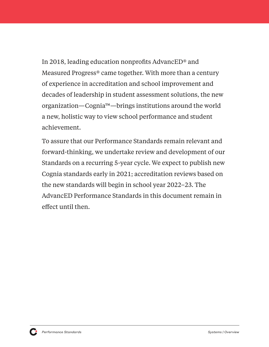In 2018, leading education nonprofits AdvancED® and Measured Progress® came together. With more than a century of experience in accreditation and school improvement and decades of leadership in student assessment solutions, the new organization—Cognia™—brings institutions around the world a new, holistic way to view school performance and student achievement.

To assure that our Performance Standards remain relevant and forward-thinking, we undertake review and development of our Standards on a recurring 5-year cycle. We expect to publish new Cognia standards early in 2021; accreditation reviews based on the new standards will begin in school year 2022–23. The AdvancED Performance Standards in this document remain in effect until then.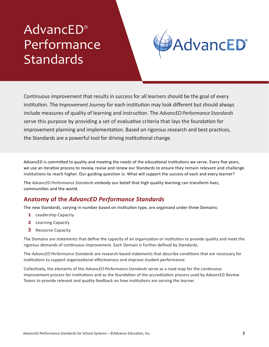### AdvancED® Performance **Standards**



Continuous improvement that results in success for all learners should be the goal of every institution. The *Improvement Journey* for each institution may look different but should always include measures of quality of learning and instruction. The *AdvancED Performance Standards* serve this purpose by providing a set of evaluative criteria that lays the foundation for improvement planning and implementation. Based on rigorous research and best practices, the Standards are a powerful tool for driving institutional change.

AdvancED is committed to quality and meeting the needs of the educational institutions we serve. Every five years, we use an iterative process to review, revise and renew our Standards to ensure they remain relevant and challenge institutions to reach higher. Our guiding question is: What will support the success of each and every learner?

The *AdvancED Performance Standards* embody our belief that high quality learning can transform lives, communities and the world.

#### **Anatomy of the** *AdvancED Performance Standards*

The new Standards, varying in number based on institution type, are organized under three Domains:

- **1** Leadership Capacity
- **2** Learning Capacity
- **3** Resource Capacity

The Domains are statements that define the capacity of an organization or institution to provide quality and meet the rigorous demands of continuous improvement. Each Domain is further defined by Standards.

The *AdvancED Performance Standards* are research-based statements that describe conditions that are necessary for institutions to support organizational effectiveness and improve student performance.

Collectively, the elements of the *AdvancED Performance Standards* serve as a road map for the continuous improvement process for institutions and as the foundation of the accreditation process used by AdvancED Review Teams to provide relevant and quality feedback on how institutions are serving the learner.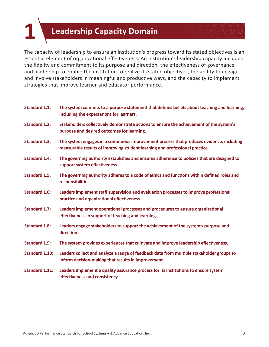### **1 Leadership Capacity Domain**

The capacity of leadership to ensure an institution's progress toward its stated objectives is an essential element of organizational effectiveness. An institution's leadership capacity includes the fidelity and commitment to its purpose and direction, the effectiveness of governance and leadership to enable the institution to realize its stated objectives, the ability to engage and involve stakeholders in meaningful and productive ways, and the capacity to implement strategies that improve learner and educator performance.

| <b>Standard 1.1:</b>  | The system commits to a purpose statement that defines beliefs about teaching and learning,<br>including the expectations for learners.                                 |
|-----------------------|-------------------------------------------------------------------------------------------------------------------------------------------------------------------------|
| <b>Standard 1.2:</b>  | Stakeholders collectively demonstrate actions to ensure the achievement of the system's<br>purpose and desired outcomes for learning.                                   |
| <b>Standard 1.3:</b>  | The system engages in a continuous improvement process that produces evidence, including<br>measurable results of improving student learning and professional practice. |
| <b>Standard 1.4:</b>  | The governing authority establishes and ensures adherence to policies that are designed to<br>support system effectiveness.                                             |
| <b>Standard 1.5:</b>  | The governing authority adheres to a code of ethics and functions within defined roles and<br>responsibilities.                                                         |
| <b>Standard 1.6:</b>  | Leaders implement staff supervision and evaluation processes to improve professional<br>practice and organizational effectiveness.                                      |
| <b>Standard 1.7:</b>  | Leaders implement operational processes and procedures to ensure organizational<br>effectiveness in support of teaching and learning.                                   |
| <b>Standard 1.8:</b>  | Leaders engage stakeholders to support the achievement of the system's purpose and<br>direction.                                                                        |
| <b>Standard 1.9:</b>  | The system provides experiences that cultivate and improve leadership effectiveness.                                                                                    |
| <b>Standard 1.10:</b> | Leaders collect and analyze a range of feedback data from multiple stakeholder groups to<br>inform decision-making that results in improvement.                         |
| <b>Standard 1.11:</b> | Leaders implement a quality assurance process for its institutions to ensure system<br>effectiveness and consistency.                                                   |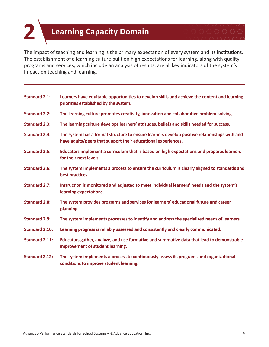## **2 <sup>L</sup>earning Capacity Domain**

The impact of teaching and learning is the primary expectation of every system and its institutions. The establishment of a learning culture built on high expectations for learning, along with quality programs and services, which include an analysis of results, are all key indicators of the system's impact on teaching and learning.

| <b>Standard 2.1:</b>  | Learners have equitable opportunities to develop skills and achieve the content and learning<br>priorities established by the system.                         |
|-----------------------|---------------------------------------------------------------------------------------------------------------------------------------------------------------|
| <b>Standard 2.2:</b>  | The learning culture promotes creativity, innovation and collaborative problem-solving.                                                                       |
| <b>Standard 2.3:</b>  | The learning culture develops learners' attitudes, beliefs and skills needed for success.                                                                     |
| <b>Standard 2.4:</b>  | The system has a formal structure to ensure learners develop positive relationships with and<br>have adults/peers that support their educational experiences. |
| <b>Standard 2.5:</b>  | Educators implement a curriculum that is based on high expectations and prepares learners<br>for their next levels.                                           |
| <b>Standard 2.6:</b>  | The system implements a process to ensure the curriculum is clearly aligned to standards and<br>best practices.                                               |
| <b>Standard 2.7:</b>  | Instruction is monitored and adjusted to meet individual learners' needs and the system's<br>learning expectations.                                           |
| <b>Standard 2.8:</b>  | The system provides programs and services for learners' educational future and career<br>planning.                                                            |
| <b>Standard 2.9:</b>  | The system implements processes to identify and address the specialized needs of learners.                                                                    |
| <b>Standard 2.10:</b> | Learning progress is reliably assessed and consistently and clearly communicated.                                                                             |
| <b>Standard 2.11:</b> | Educators gather, analyze, and use formative and summative data that lead to demonstrable<br>improvement of student learning.                                 |
| <b>Standard 2.12:</b> | The system implements a process to continuously assess its programs and organizational<br>conditions to improve student learning.                             |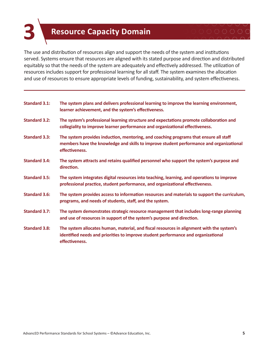#### **3 Resource Capacity Domain**

The use and distribution of resources align and support the needs of the system and institutions served. Systems ensure that resources are aligned with its stated purpose and direction and distributed equitably so that the needs of the system are adequately and effectively addressed. The utilization of resources includes support for professional learning for all staff. The system examines the allocation and use of resources to ensure appropriate levels of funding, sustainability, and system effectiveness.

| <b>Standard 3.1:</b> | The system plans and delivers professional learning to improve the learning environment,<br>learner achievement, and the system's effectiveness.                                                   |
|----------------------|----------------------------------------------------------------------------------------------------------------------------------------------------------------------------------------------------|
| <b>Standard 3.2:</b> | The system's professional learning structure and expectations promote collaboration and<br>collegiality to improve learner performance and organizational effectiveness.                           |
| <b>Standard 3.3:</b> | The system provides induction, mentoring, and coaching programs that ensure all staff<br>members have the knowledge and skills to improve student performance and organizational<br>effectiveness. |
| <b>Standard 3.4:</b> | The system attracts and retains qualified personnel who support the system's purpose and<br>direction.                                                                                             |
| <b>Standard 3.5:</b> | The system integrates digital resources into teaching, learning, and operations to improve<br>professional practice, student performance, and organizational effectiveness.                        |
| <b>Standard 3.6:</b> | The system provides access to information resources and materials to support the curriculum,<br>programs, and needs of students, staff, and the system.                                            |
| <b>Standard 3.7:</b> | The system demonstrates strategic resource management that includes long-range planning<br>and use of resources in support of the system's purpose and direction.                                  |
| <b>Standard 3.8:</b> | The system allocates human, material, and fiscal resources in alignment with the system's<br>identified needs and priorities to improve student performance and organizational<br>effectiveness.   |